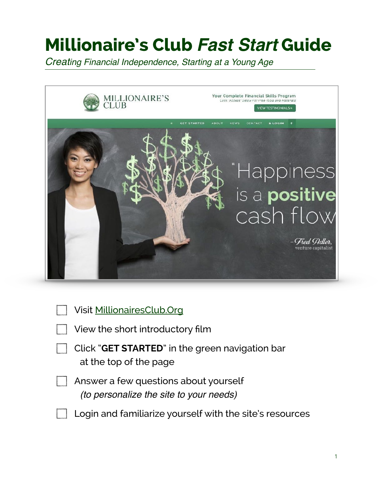## **Millionaire's Club** *Fast Start* **Guide**

*Creating Financial Independence, Starting at a Young Age*



| Visit MillionairesClub.Org                                                              |
|-----------------------------------------------------------------------------------------|
| View the short introductory film                                                        |
| Click "GET STARTED" in the green navigation bar<br>at the top of the page               |
| Answer a few questions about yourself<br><i>(to personalize the site to your needs)</i> |
| Login and familiarize yourself with the site's resources                                |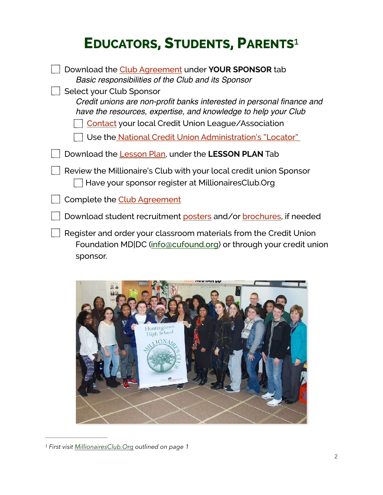## <span id="page-1-1"></span>**EDUCATORS, STUDENTS, PARENTS**[1](#page-1-0)

| Download the Club Agreement under <b>YOUR SPONSOR</b> tab<br>Basic responsibilities of the Club and its Sponsor                                                                                                                                                                                     |
|-----------------------------------------------------------------------------------------------------------------------------------------------------------------------------------------------------------------------------------------------------------------------------------------------------|
| Select your Club Sponsor<br>Credit unions are non-profit banks interested in personal finance and<br>have the resources, expertise, and knowledge to help your Club<br><b>Contact</b> your local Credit Union League/Association<br>Use the <u>National Credit Union Administration's "Locator"</u> |
| Download the Lesson Plan, under the L <b>ESSON PLAN</b> Tab                                                                                                                                                                                                                                         |
| Review the Millionaire's Club with your local credit union Sponsor<br>Have your sponsor register at MillionairesClub.Org                                                                                                                                                                            |
| Complete the Club Agreement                                                                                                                                                                                                                                                                         |
| Download student recruitment posters and/or brochures, if needed                                                                                                                                                                                                                                    |
| Register and order your classroom materials from the Credit Union<br>Foundation MD DC (info@cufound.org) or through your credit union<br>sponsor.                                                                                                                                                   |

<span id="page-1-0"></span>

*[<sup>1</sup>](#page-1-1) First visit [MillionairesClub.Org](http://MillionairesClub.Org) outlined on page 1*